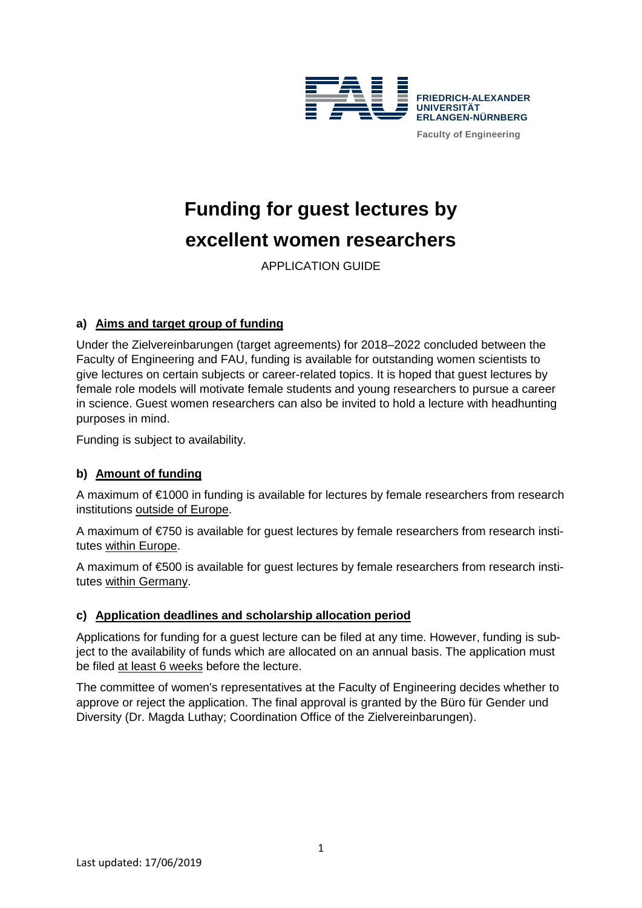

# **Funding for guest lectures by excellent women researchers**

APPLICATION GUIDE

# **a) Aims and target group of funding**

Under the Zielvereinbarungen (target agreements) for 2018–2022 concluded between the Faculty of Engineering and FAU, funding is available for outstanding women scientists to give lectures on certain subjects or career-related topics. It is hoped that guest lectures by female role models will motivate female students and young researchers to pursue a career in science. Guest women researchers can also be invited to hold a lecture with headhunting purposes in mind.

Funding is subject to availability.

## **b) Amount of funding**

A maximum of €1000 in funding is available for lectures by female researchers from research institutions outside of Europe.

A maximum of €750 is available for guest lectures by female researchers from research institutes within Europe.

A maximum of €500 is available for guest lectures by female researchers from research institutes within Germany.

## **c) Application deadlines and scholarship allocation period**

Applications for funding for a guest lecture can be filed at any time. However, funding is subject to the availability of funds which are allocated on an annual basis. The application must be filed at least 6 weeks before the lecture.

The committee of women's representatives at the Faculty of Engineering decides whether to approve or reject the application. The final approval is granted by the Büro für Gender und Diversity (Dr. Magda Luthay; Coordination Office of the Zielvereinbarungen).